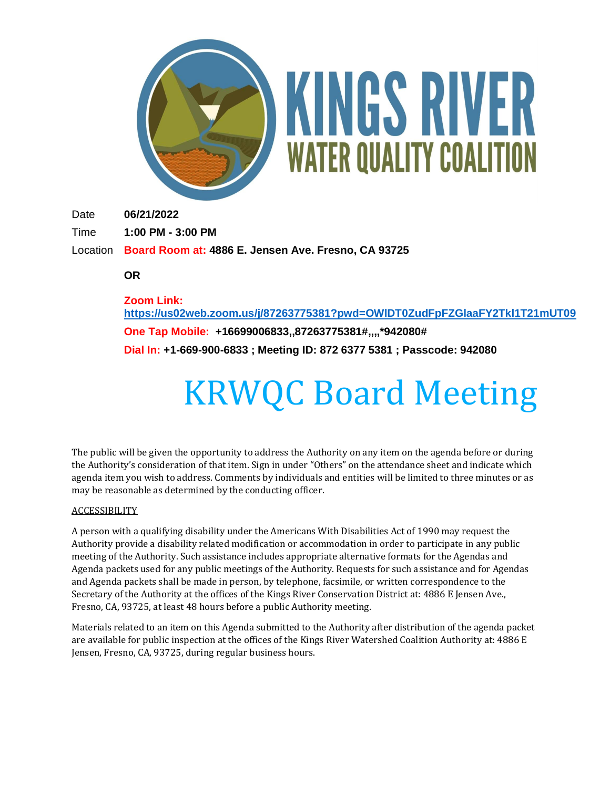

# KINGS RIVER **WATER QUALITY COALITION**

Date **06/21/2022**

Time **1:00 PM - 3:00 PM**

Location **Board Room at: 4886 E. Jensen Ave. Fresno, CA 93725**

**OR**

**Zoom Link: <https://us02web.zoom.us/j/87263775381?pwd=OWlDT0ZudFpFZGlaaFY2Tkl1T21mUT09>**

**One Tap Mobile: +16699006833,,87263775381#,,,,\*942080# Dial In: +1-669-900-6833 ; Meeting ID: 872 6377 5381 ; Passcode: 942080**

# KRWQC Board Meeting

The public will be given the opportunity to address the Authority on any item on the agenda before or during the Authority's consideration of that item. Sign in under "Others" on the attendance sheet and indicate which agenda item you wish to address. Comments by individuals and entities will be limited to three minutes or as may be reasonable as determined by the conducting officer.

## ACCESSIBILITY

A person with a qualifying disability under the Americans With Disabilities Act of 1990 may request the Authority provide a disability related modification or accommodation in order to participate in any public meeting of the Authority. Such assistance includes appropriate alternative formats for the Agendas and Agenda packets used for any public meetings of the Authority. Requests for such assistance and for Agendas and Agenda packets shall be made in person, by telephone, facsimile, or written correspondence to the Secretary of the Authority at the offices of the Kings River Conservation District at: 4886 E Jensen Ave., Fresno, CA, 93725, at least 48 hours before a public Authority meeting.

Materials related to an item on this Agenda submitted to the Authority after distribution of the agenda packet are available for public inspection at the offices of the Kings River Watershed Coalition Authority at: 4886 E Jensen, Fresno, CA, 93725, during regular business hours.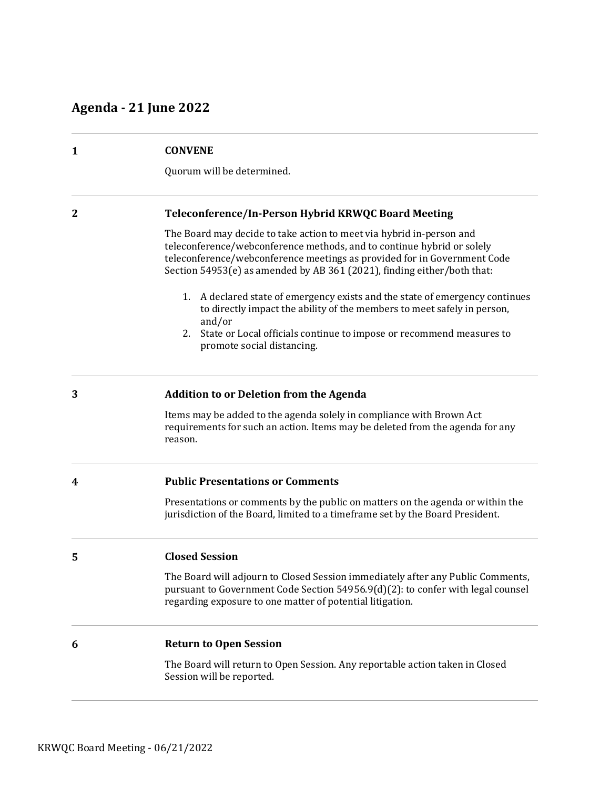# **Agenda - 21 June 2022**

| $\mathbf{1}$ | <b>CONVENE</b><br>Quorum will be determined.                                                                                                                                                                                                                                                          |
|--------------|-------------------------------------------------------------------------------------------------------------------------------------------------------------------------------------------------------------------------------------------------------------------------------------------------------|
|              |                                                                                                                                                                                                                                                                                                       |
| 2            | Teleconference/In-Person Hybrid KRWQC Board Meeting                                                                                                                                                                                                                                                   |
|              | The Board may decide to take action to meet via hybrid in-person and<br>teleconference/webconference methods, and to continue hybrid or solely<br>teleconference/webconference meetings as provided for in Government Code<br>Section 54953(e) as amended by AB 361 (2021), finding either/both that: |
|              | A declared state of emergency exists and the state of emergency continues<br>1.<br>to directly impact the ability of the members to meet safely in person,<br>and/or<br>State or Local officials continue to impose or recommend measures to<br>2.                                                    |
|              | promote social distancing.                                                                                                                                                                                                                                                                            |
| 3            | <b>Addition to or Deletion from the Agenda</b>                                                                                                                                                                                                                                                        |
|              | Items may be added to the agenda solely in compliance with Brown Act<br>requirements for such an action. Items may be deleted from the agenda for any<br>reason.                                                                                                                                      |
| 4            | <b>Public Presentations or Comments</b>                                                                                                                                                                                                                                                               |
|              | Presentations or comments by the public on matters on the agenda or within the<br>jurisdiction of the Board, limited to a timeframe set by the Board President.                                                                                                                                       |
| 5            | <b>Closed Session</b>                                                                                                                                                                                                                                                                                 |
|              | The Board will adjourn to Closed Session immediately after any Public Comments,<br>pursuant to Government Code Section 54956.9(d)(2): to confer with legal counsel<br>regarding exposure to one matter of potential litigation.                                                                       |
| 6            | <b>Return to Open Session</b>                                                                                                                                                                                                                                                                         |
|              | The Board will return to Open Session. Any reportable action taken in Closed<br>Session will be reported.                                                                                                                                                                                             |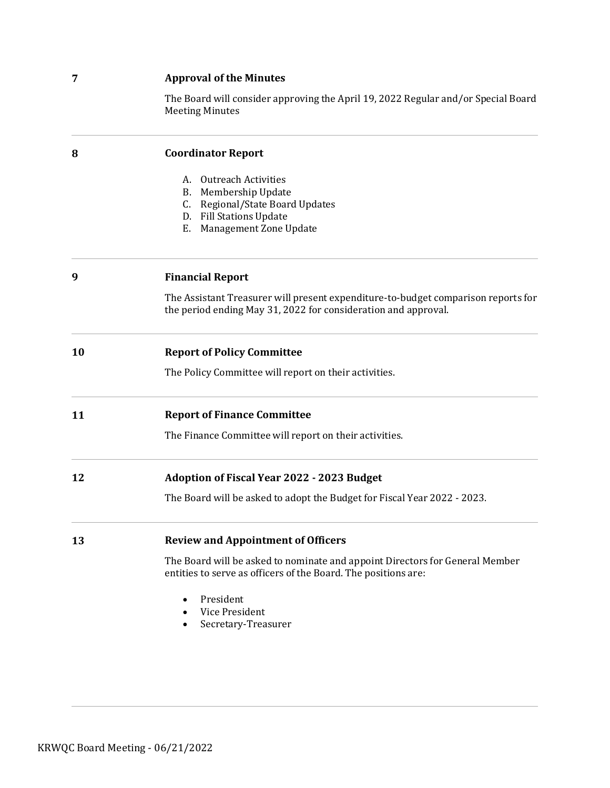# **7 Approval of the Minutes**

The Board will consider approving the April 19, 2022 Regular and/or Special Board Meeting Minutes

| 8  | <b>Coordinator Report</b>                                                                                                                           |
|----|-----------------------------------------------------------------------------------------------------------------------------------------------------|
|    | <b>Outreach Activities</b><br>А.                                                                                                                    |
|    | Membership Update<br>В.                                                                                                                             |
|    | Regional/State Board Updates<br>C.                                                                                                                  |
|    | D. Fill Stations Update                                                                                                                             |
|    | Management Zone Update<br>Е.                                                                                                                        |
| 9  | <b>Financial Report</b>                                                                                                                             |
|    | The Assistant Treasurer will present expenditure-to-budget comparison reports for<br>the period ending May 31, 2022 for consideration and approval. |
| 10 | <b>Report of Policy Committee</b>                                                                                                                   |
|    | The Policy Committee will report on their activities.                                                                                               |
| 11 | <b>Report of Finance Committee</b>                                                                                                                  |
|    | The Finance Committee will report on their activities.                                                                                              |
| 12 | <b>Adoption of Fiscal Year 2022 - 2023 Budget</b>                                                                                                   |
|    | The Board will be asked to adopt the Budget for Fiscal Year 2022 - 2023.                                                                            |
| 13 | <b>Review and Appointment of Officers</b>                                                                                                           |
|    | The Board will be asked to nominate and appoint Directors for General Member<br>entities to serve as officers of the Board. The positions are:      |
|    | President                                                                                                                                           |
|    | Vice President                                                                                                                                      |
|    | Secretary-Treasurer                                                                                                                                 |